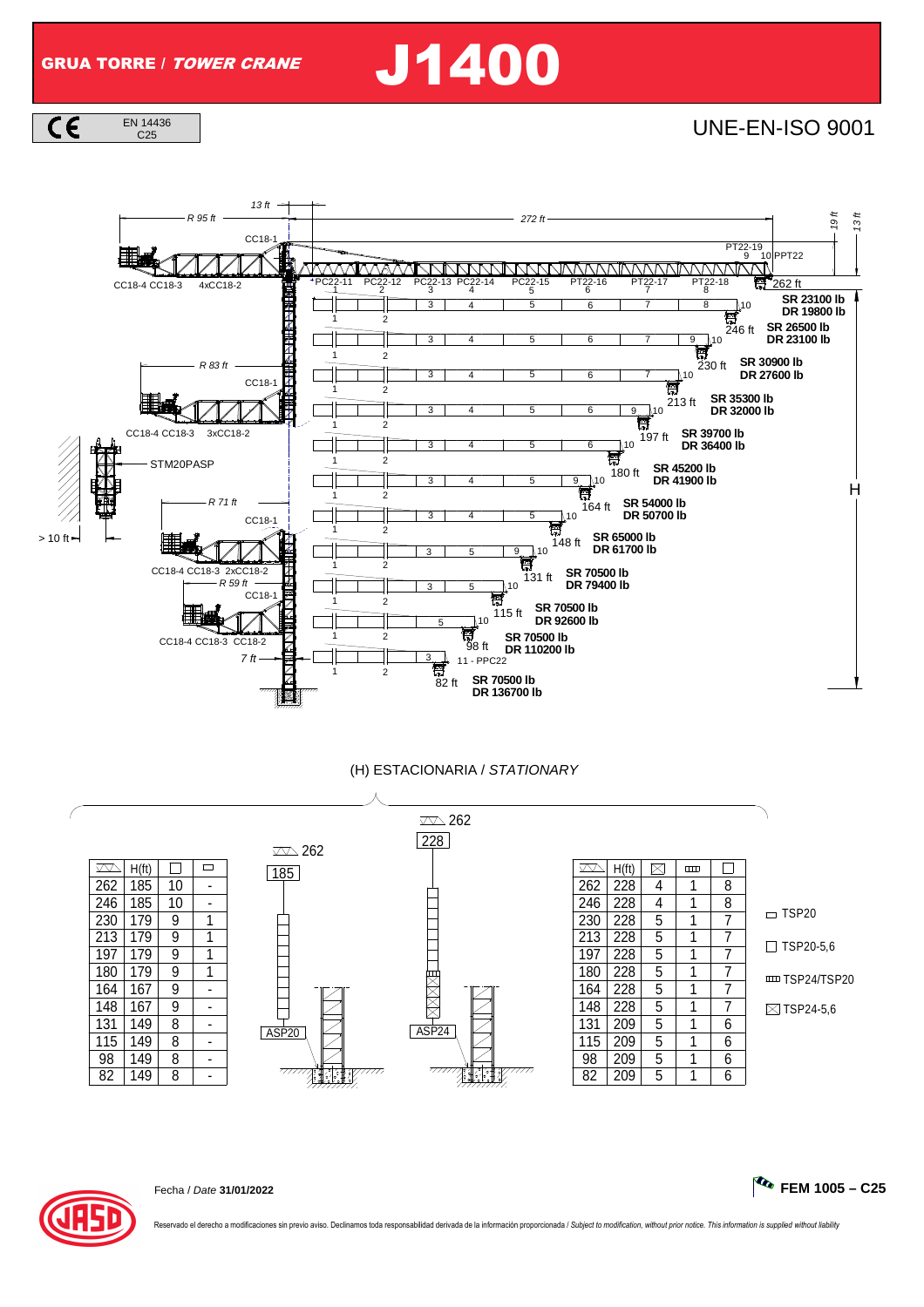GRUA TORRE / TOWER CRANE J1400

 $C \in$ EN 14436

 $\frac{14436}{C25}$  |



## (H) ESTACIONARIA / STATIONARY





Fecha / Date **31/01/2022 FEM 1005 – C25**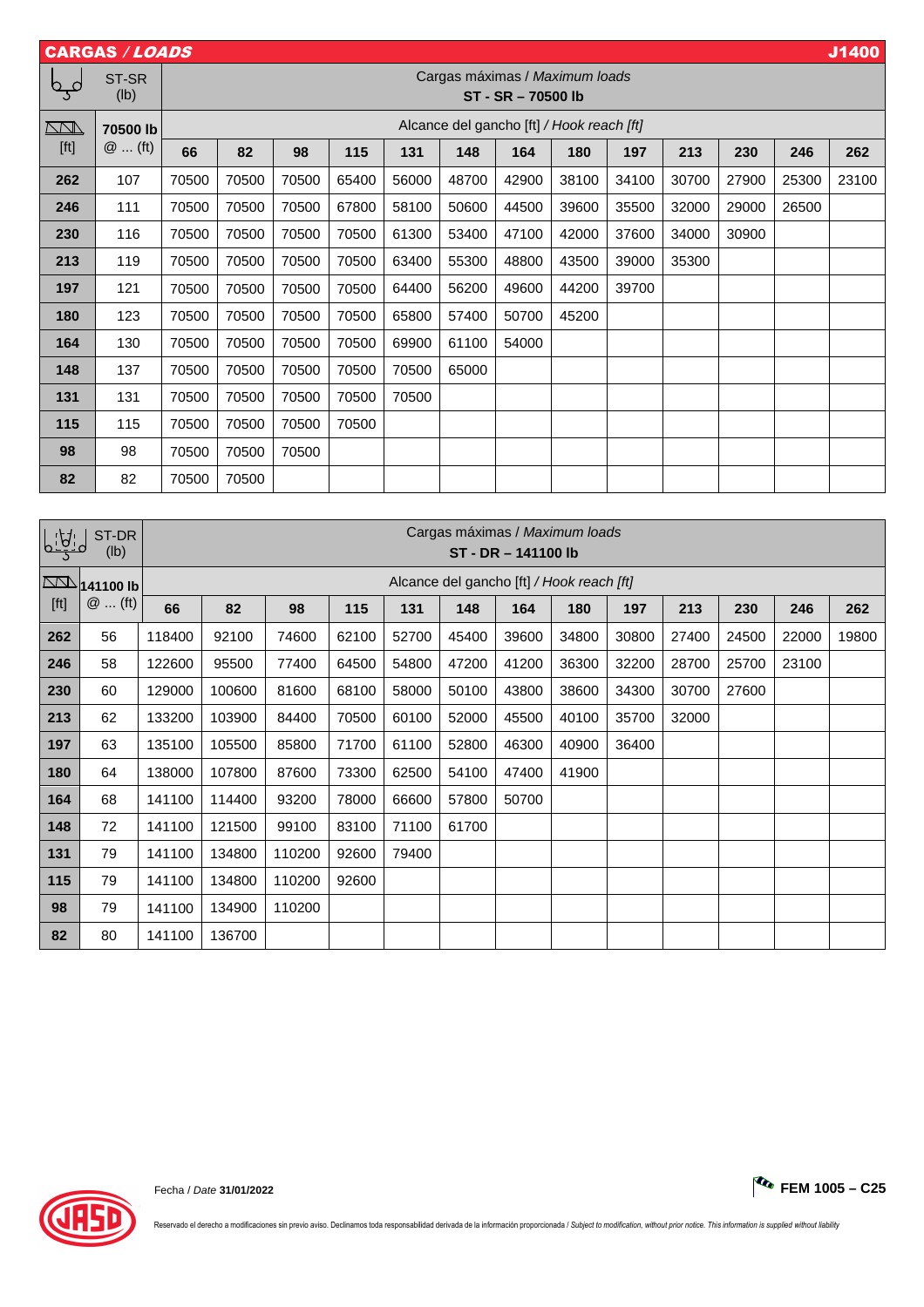| J1400<br><b>CARGAS / LOADS</b> |                                 |                                                       |                                                      |       |       |       |                          |                                           |       |       |       |       |                          |       |
|--------------------------------|---------------------------------|-------------------------------------------------------|------------------------------------------------------|-------|-------|-------|--------------------------|-------------------------------------------|-------|-------|-------|-------|--------------------------|-------|
| b o                            | ST-SR<br>(Ib)                   |                                                       | Cargas máximas / Maximum loads<br>ST - SR - 70500 lb |       |       |       |                          |                                           |       |       |       |       |                          |       |
| $\overline{\mathbb{M}}$        | 70500 lb                        | Alcance del gancho [ft] / Hook reach [ft]             |                                                      |       |       |       |                          |                                           |       |       |       |       |                          |       |
| [ft]                           | $@$ (ft)                        | 66                                                    | 82                                                   | 98    | 115   | 131   | 148                      | 164                                       | 180   | 197   | 213   | 230   | 246                      | 262   |
| 262                            | 107                             | 70500                                                 | 70500                                                | 70500 | 65400 | 56000 | 48700                    | 42900                                     | 38100 | 34100 | 30700 | 27900 | 25300                    | 23100 |
| 246                            | 111                             | 70500                                                 | 70500                                                | 70500 | 67800 | 58100 | 50600                    | 44500                                     | 39600 | 35500 | 32000 | 29000 | 26500                    |       |
| 230                            | 116                             | 70500                                                 | 70500                                                | 70500 | 70500 | 61300 | 53400                    | 47100                                     | 42000 | 37600 | 34000 | 30900 | $\overline{\phantom{0}}$ |       |
| 213                            | 119                             | 70500                                                 | 70500                                                | 70500 | 70500 | 63400 | 55300                    | 48800                                     | 43500 | 39000 | 35300 |       |                          |       |
| 197                            | 121                             | 70500                                                 | 70500                                                | 70500 | 70500 | 64400 | 56200                    | 49600                                     | 44200 | 39700 |       |       | $\overline{\phantom{0}}$ |       |
| 180                            | 123                             | 70500                                                 | 70500                                                | 70500 | 70500 | 65800 | 57400                    | 50700                                     | 45200 |       |       |       |                          |       |
| 164                            | 130                             | 70500                                                 | 70500                                                | 70500 | 70500 | 69900 | 61100                    | 54000                                     |       |       |       |       |                          |       |
| 148                            | 137                             | 70500                                                 | 70500                                                | 70500 | 70500 | 70500 | 65000                    |                                           |       |       |       |       |                          |       |
| 131                            | 131                             | 70500                                                 | 70500                                                | 70500 | 70500 | 70500 | $\overline{\phantom{0}}$ |                                           |       |       |       |       |                          |       |
| 115                            | 115                             | 70500                                                 | 70500                                                | 70500 | 70500 |       |                          |                                           |       |       |       |       |                          |       |
| 98                             | 98                              | 70500                                                 | 70500                                                | 70500 |       |       |                          |                                           |       |       |       |       |                          |       |
| 82                             | 82                              | 70500                                                 | 70500                                                |       |       |       |                          |                                           |       |       |       |       |                          |       |
|                                |                                 |                                                       |                                                      |       |       |       |                          |                                           |       |       |       |       |                          |       |
|                                | ST-DR<br>(Ib)                   | Cargas máximas / Maximum loads<br>ST - DR - 141100 lb |                                                      |       |       |       |                          |                                           |       |       |       |       |                          |       |
|                                | $\overline{\text{N}}$ 141100 lb |                                                       |                                                      |       |       |       |                          | Alcance del gancho [ft] / Hook reach [ft] |       |       |       |       |                          |       |
| [ft]                           | $@$ (ft)                        | 66                                                    | 82                                                   | 98    | 115   | 131   | 148                      | 164                                       | 180   | 197   | 213   | 230   | 246                      | 262   |
| 262                            | 56                              | 118400                                                | 92100                                                | 74600 | 62100 | 52700 | 45400                    | 39600                                     | 34800 | 30800 | 27400 | 24500 | 22000                    | 19800 |
| 246                            | 58                              | 122600                                                | 95500                                                | 77400 | 64500 | 54800 | 47200                    | 41200                                     | 36300 | 32200 | 28700 | 25700 | 23100                    |       |
| 230                            | 60                              | 129000                                                | 100600                                               | 81600 | 68100 | 58000 | 50100                    | 43800                                     | 38600 | 34300 | 30700 | 27600 |                          |       |
| 213                            | 62                              | 133200                                                | 103900                                               | 84400 | 70500 | 60100 | 52000                    | 45500                                     | 40100 | 35700 | 32000 |       |                          |       |

 | 63 | 135100 | 105500 | 85800 |71700 | 61100 | 52800 | 46300 | 40900 | 36400 | — | — | — | — | 64 | 138000 | 107800 | 87600 | 73300 | 62500 | 54100 | 47400 | 41900 | — | — | — | — | — | 68 | 141100 | 114400 | 93200 | 78000 | 66600 | 57800 | 50700 |  $\,\,\,\,\,\,$   $\,\,\,$   $\,\,\,$   $\,\,\,$   $\,\,\,$   $\,\,\,$   $\,\,\,$   $\,\,\,$   $\,\,\,$   $\,\,\,$   $\,\,\,$   $\,\,$   $\,\,\,$   $\,\,\,$   $\,\,\,$   $\,\,$   $\,\,$   $\,\,$   $\,\,$   $\,\,$   $\,\,$   $\,\,$   $\$  | 72 | 141100 | 121500 | 99100 | 83100 | 71100 | 61700 | — | — | — | — | — | — | — 79 141100 134800 110200 92600 79400 79 141100 134800 110200 92600 79 141100 134900 110200 | 80 |141100 | 136700 |  $\,\,\,\to\,\,\,\mid\,\,\to\,\,\mid\,\,\to\,\,\mid\,\,\to\,\,\mid\,\,\to\,\,\mid\,\,\to\,\,\mid\,\,\to\,\,\mid\,\,\to\,\,\mid\,\,\to\,\,\mid\,\,\to\,\,\mid\,\,\to\,\,\mid\,\,\to\,\,\mid\,\,\to\,\,\mid\,\,\to\,\,\mid\,\,\to\,\,\mid\,\,\to\,\,\mid\,\,\to\,\,\mid\,\,\to\,\,\mid\,\,\to\,\,\mid\,\,\to\,\,\mid\,\,\to\,\,\mid\,\,\to\,\,\mid\,\,\to\,\,\mid\,\,\to\,\$ 



Reservado el derecho a modificaciones sin previo aviso. Declinamos toda responsabilidad derivada de la información proporcionada / Subject to modification, without prior notice. This information is supplied without liabili

Fecha / Date **31/01/2022 FEM 1005 – C25**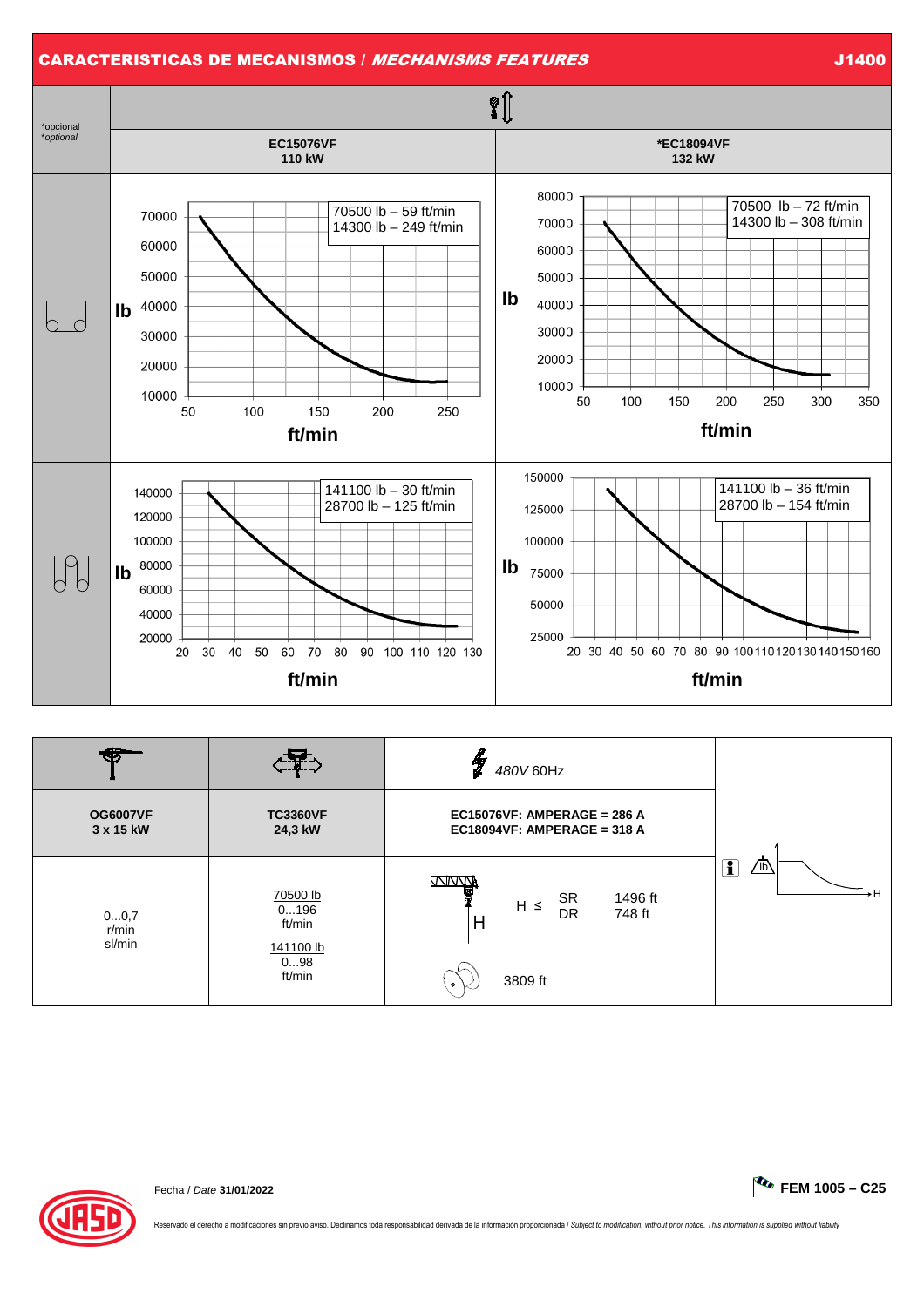

|                              |                                                          | Y<br>480V 60Hz                                                                       |                                        |  |
|------------------------------|----------------------------------------------------------|--------------------------------------------------------------------------------------|----------------------------------------|--|
| <b>OG6007VF</b><br>3 x 15 kW | <b>TC3360VF</b><br>24,3 kW                               | EC15076VF: AMPERAGE = 286 A<br>EC18094VF: AMPERAGE = 318 A                           |                                        |  |
| 00,7<br>$r/m$ in<br>sl/min   | 70500 lb<br>0196<br>ft/min<br>141100 lb<br>098<br>ft/min | www<br><b>SR</b><br>1496 ft<br>$H \leq$<br>DR<br>748 ft<br>H<br>3809 ft<br>$\bullet$ | $\sqrt{16}$<br>$\overline{\mathbf{1}}$ |  |



Reservado el derecho a modificaciones sin previo aviso. Declinamos toda responsabilidad derivada de la información proporcionada / Subject to modification, without prior notice. This information is supplied without liabili

Fecha / Date **31/01/2022 FEM 1005 – C25**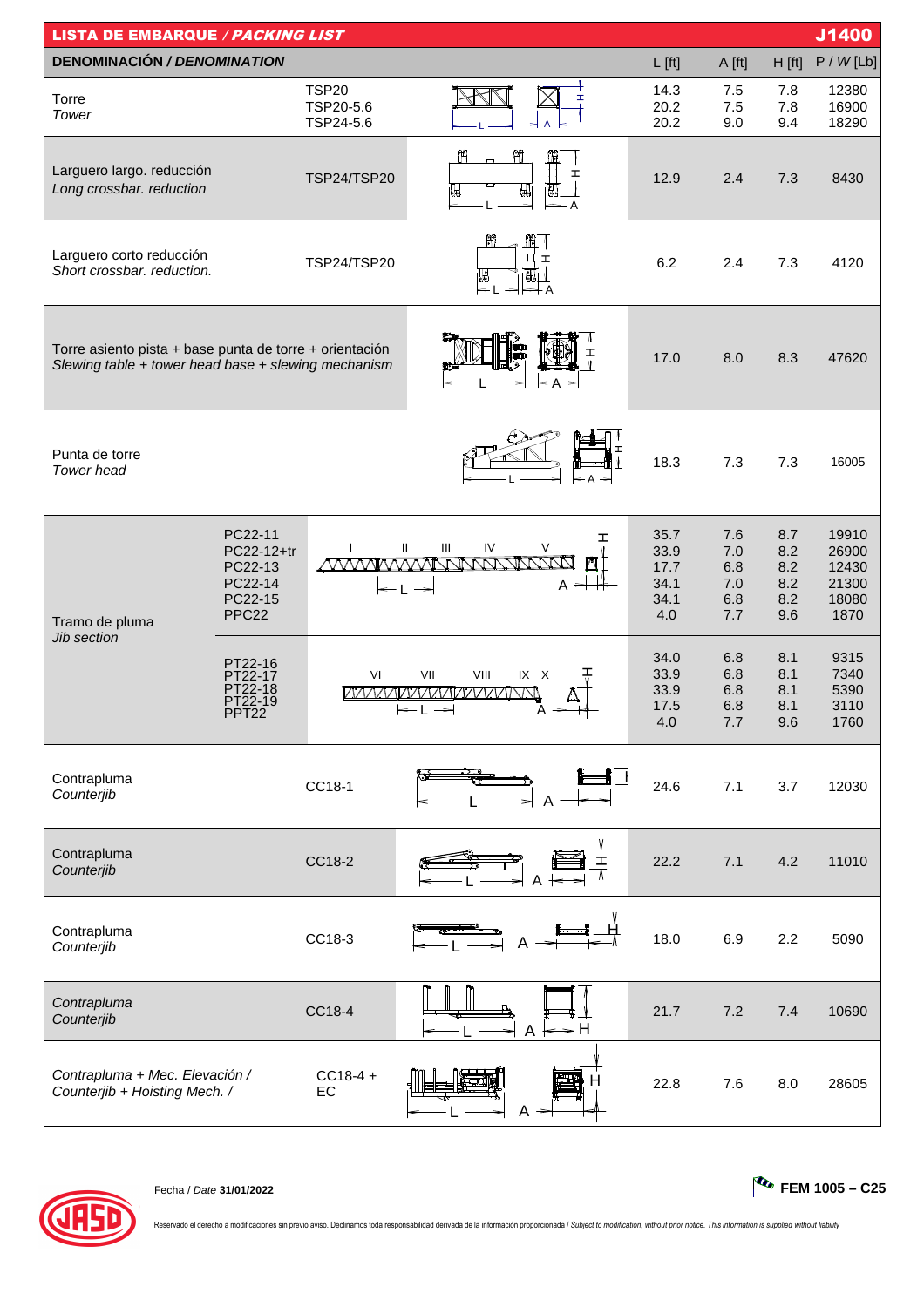| J1400<br><b>LISTA DE EMBARQUE / PACKING LIST</b>                                                               |                                                                             |                                        |                                                                                                                                |                                             |                                        |                                        |                                                   |  |  |
|----------------------------------------------------------------------------------------------------------------|-----------------------------------------------------------------------------|----------------------------------------|--------------------------------------------------------------------------------------------------------------------------------|---------------------------------------------|----------------------------------------|----------------------------------------|---------------------------------------------------|--|--|
| <b>DENOMINACIÓN / DENOMINATION</b>                                                                             |                                                                             |                                        |                                                                                                                                | $L$ [ft]                                    | A [ft]                                 | H [ft]                                 | P / W [Lb]                                        |  |  |
| Torre<br>Tower                                                                                                 |                                                                             | <b>TSP20</b><br>TSP20-5.6<br>TSP24-5.6 |                                                                                                                                | 14.3<br>20.2<br>20.2                        | 7.5<br>7.5<br>9.0                      | 7.8<br>7.8<br>9.4                      | 12380<br>16900<br>18290                           |  |  |
| Larguero largo. reducción<br>Long crossbar. reduction                                                          |                                                                             | <b>TSP24/TSP20</b>                     | Ħ<br>œ<br>I<br>₩<br>Ы,                                                                                                         | 12.9                                        | 2.4                                    | 7.3                                    | 8430                                              |  |  |
| Larguero corto reducción<br>Short crossbar. reduction.                                                         |                                                                             | TSP24/TSP20                            | M<br>I<br>IJð<br>6J)                                                                                                           | 6.2                                         | 2.4                                    | 7.3                                    | 4120                                              |  |  |
| Torre asiento pista + base punta de torre + orientación<br>Slewing table + tower head base + slewing mechanism | 17.0                                                                        | 8.0                                    | 8.3                                                                                                                            | 47620                                       |                                        |                                        |                                                   |  |  |
| Punta de torre<br>Tower head                                                                                   |                                                                             |                                        |                                                                                                                                | 18.3                                        | 7.3                                    | 7.3                                    | 16005                                             |  |  |
| Tramo de pluma                                                                                                 | PC22-11<br>PC22-12+tr<br>PC22-13<br>PC22-14<br>PC22-15<br>PPC <sub>22</sub> | $\mathbf{I}$                           | ェ<br>$\ensuremath{\mathsf{III}}\xspace$<br>IV<br>$\mathsf{I}$<br>$\vee$<br><u>MWWWMNNWWWWW</u><br>Δ<br>A $\,{}$ $\,{}$<br>l— L | 35.7<br>33.9<br>17.7<br>34.1<br>34.1<br>4.0 | 7.6<br>7.0<br>6.8<br>7.0<br>6.8<br>7.7 | 8.7<br>8.2<br>8.2<br>8.2<br>8.2<br>9.6 | 19910<br>26900<br>12430<br>21300<br>18080<br>1870 |  |  |
| Jib section                                                                                                    | PT22-16<br>PT22-17<br>PT22-18<br>PT22-19<br>PPT <sub>22</sub>               | VI                                     | VII<br>VIII<br>IX X<br><i><b>IXAAAAAAAAAAAAAAANNN</b></i><br>$\rightarrow$                                                     | 34.0<br>33.9<br>33.9<br>17.5<br>4.0         | 6.8<br>6.8<br>6.8<br>6.8<br>7.7        | 8.1<br>8.1<br>8.1<br>8.1<br>9.6        | 9315<br>7340<br>5390<br>3110<br>1760              |  |  |
| Contrapluma<br>Counterjib                                                                                      |                                                                             | CC18-1                                 | $\mathbf{I}$                                                                                                                   | 24.6                                        | 7.1                                    | 3.7                                    | 12030                                             |  |  |
| Contrapluma<br>Counterjib                                                                                      |                                                                             | CC18-2                                 | I<br>Α                                                                                                                         | 22.2                                        | 7.1                                    | 4.2                                    | 11010                                             |  |  |
| Contrapluma<br>Counterjib                                                                                      |                                                                             | CC18-3                                 | Α                                                                                                                              | 18.0                                        | 6.9                                    | 2.2                                    | 5090                                              |  |  |
| Contrapluma<br>Counterjib                                                                                      |                                                                             | CC18-4                                 | Н<br>Α                                                                                                                         | 21.7                                        | 7.2                                    | 7.4                                    | 10690                                             |  |  |
| Contrapluma + Mec. Elevación /<br>Counterjib + Hoisting Mech. /                                                |                                                                             | $CC18-4 +$<br>EC                       |                                                                                                                                | 22.8                                        | 7.6                                    | 8.0                                    | 28605                                             |  |  |



Fecha / Date **31/01/2022 FEM 1005 – C25**

Reservado el derecho a modificaciones sin previo aviso. Declinamos toda responsabilidad derivada de la información proporcionada / Subject to modification, without prior notice. This information is supplied without liabili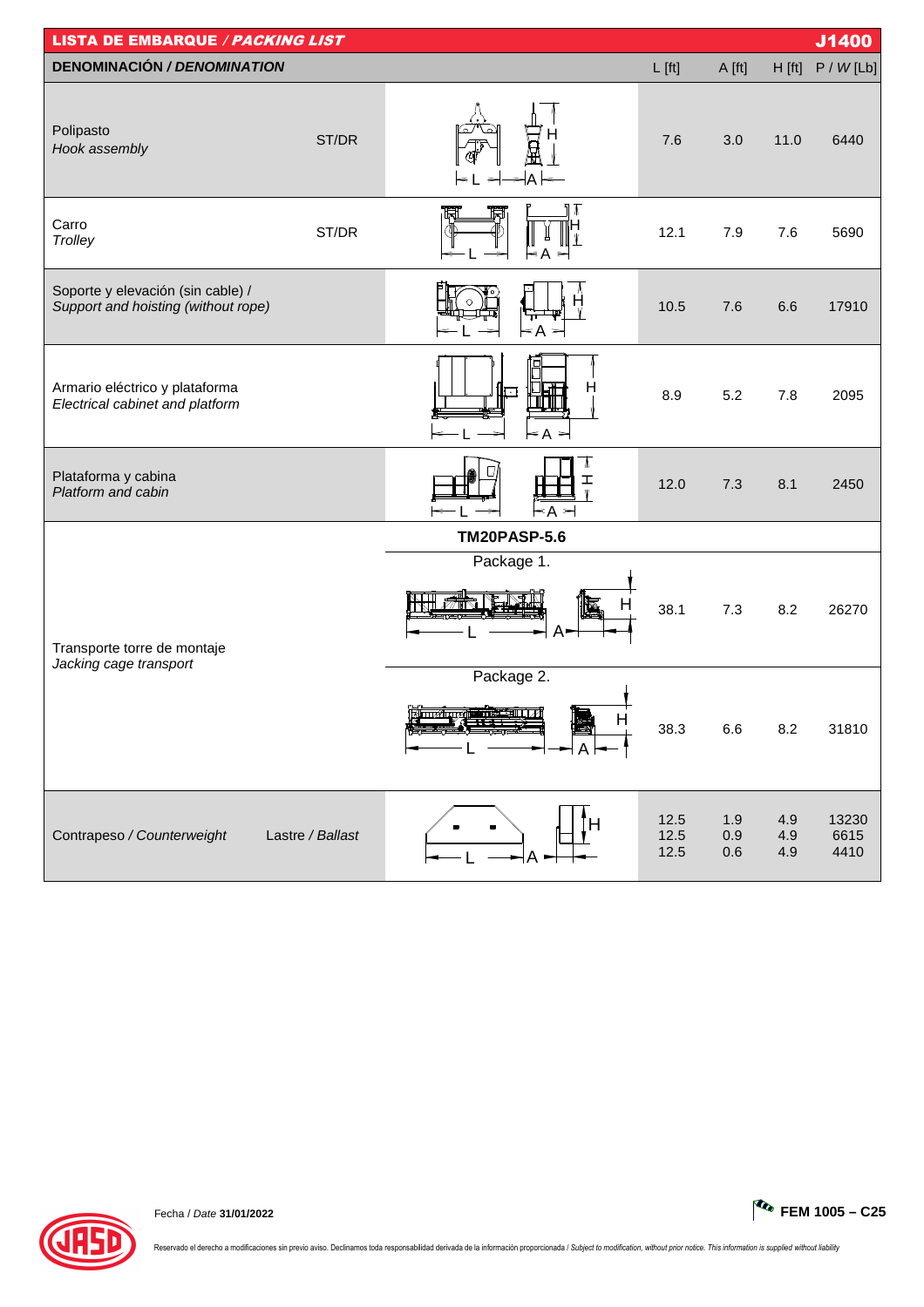| <b>LISTA DE EMBARQUE / PACKING LIST</b>                                  |                  |                                       |                      |                   |                   | J1400                 |
|--------------------------------------------------------------------------|------------------|---------------------------------------|----------------------|-------------------|-------------------|-----------------------|
| <b>DENOMINACIÓN / DENOMINATION</b>                                       |                  |                                       | $L$ [ft]             | A [ft]            | H [ft]            | P / W [Lb]            |
| Polipasto<br>Hook assembly                                               | ST/DR            | А                                     | 7.6                  | 3.0               | 11.0              | 6440                  |
| Carro<br>Trolley                                                         | ST/DR            | ₩<br>H                                | 12.1                 | 7.9               | 7.6               | 5690                  |
| Soporte y elevación (sin cable) /<br>Support and hoisting (without rope) |                  | $\leq A$                              | 10.5                 | 7.6               | 6.6               | 17910                 |
| Armario eléctrico y plataforma<br>Electrical cabinet and platform        |                  | H<br>⊨a ⇒<br>⇒                        | 8.9                  | 5.2               | 7.8               | 2095                  |
| Plataforma y cabina<br>Platform and cabin                                |                  | ⊼<br>ェ<br>$\leq$ A $\Rightarrow$      | 12.0                 | 7.3               | 8.1               | 2450                  |
|                                                                          |                  | <b>TM20PASP-5.6</b>                   |                      |                   |                   |                       |
| Transporte torre de montaje<br>Jacking cage transport                    |                  | Package 1.<br>$A-$                    | 38.1                 | 7.3               | 8.2               | 26270                 |
|                                                                          |                  | Package 2.<br><u>Muziqya ameeriya</u> | 38.3                 | 6.6               | 8.2               | 31810                 |
| Contrapeso / Counterweight                                               | Lastre / Ballast |                                       | 12.5<br>12.5<br>12.5 | 1.9<br>0.9<br>0.6 | 4.9<br>4.9<br>4.9 | 13230<br>6615<br>4410 |